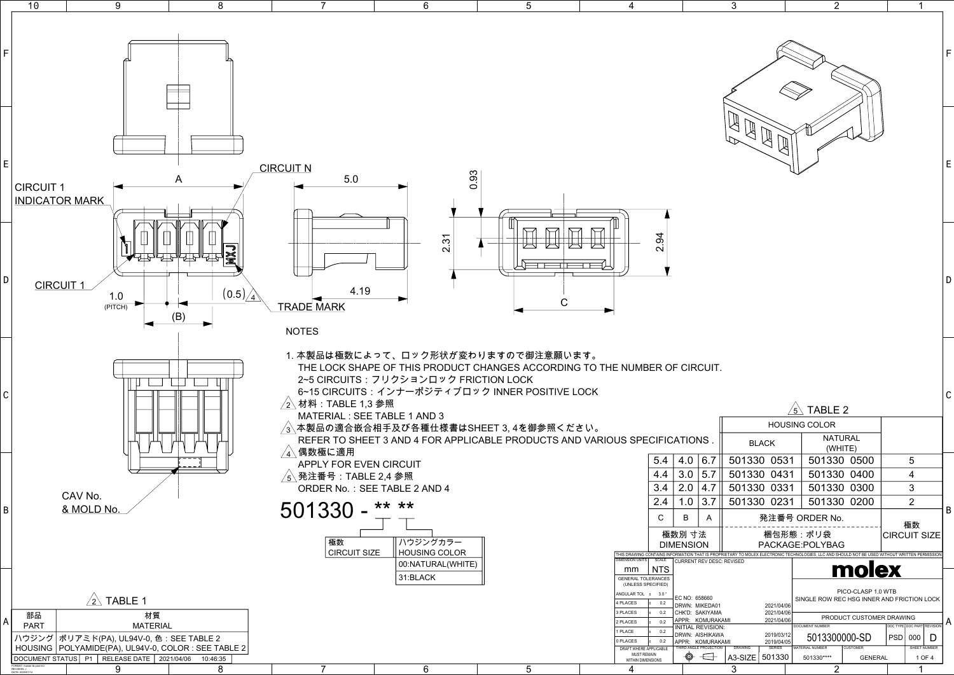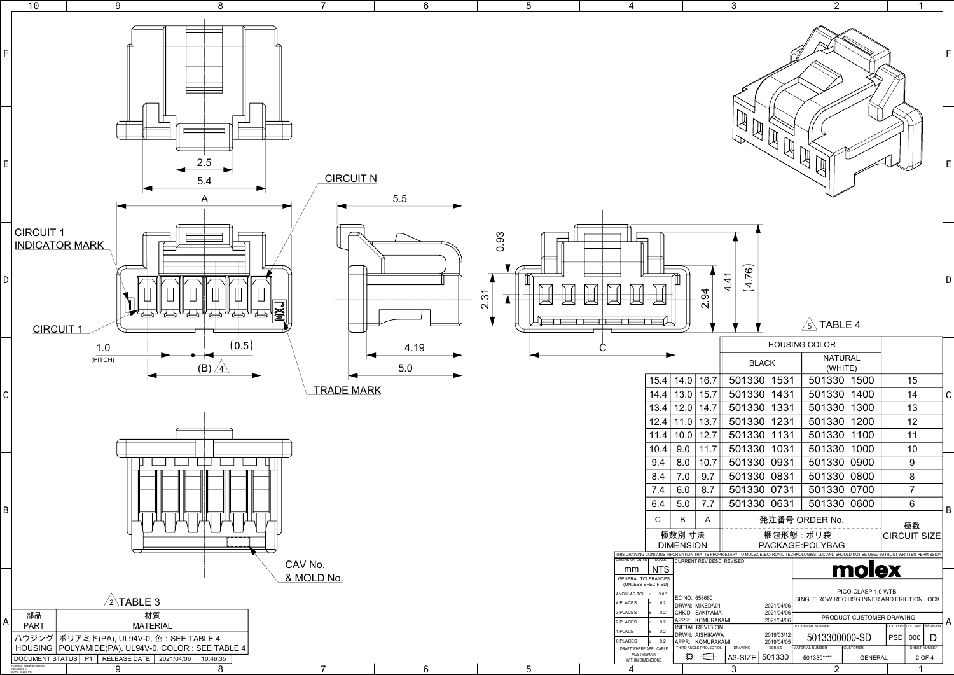|                                |                            |                                             | 3                  |                                           |  | 2                                                                                                                               |                          |            | 1                          |   |   |
|--------------------------------|----------------------------|---------------------------------------------|--------------------|-------------------------------------------|--|---------------------------------------------------------------------------------------------------------------------------------|--------------------------|------------|----------------------------|---|---|
|                                | F                          |                                             |                    |                                           |  |                                                                                                                                 |                          |            |                            |   |   |
|                                |                            |                                             |                    |                                           |  |                                                                                                                                 |                          |            |                            |   | E |
|                                |                            | 2.94                                        | (4.76)<br>4.4<br>4 |                                           |  | TABLE 4<br>$\mathfrak{s}$                                                                                                       |                          |            |                            |   | D |
|                                |                            |                                             |                    |                                           |  | <b>HOUSING COLOR</b>                                                                                                            |                          |            |                            |   |   |
|                                |                            |                                             |                    | <b>BLACK</b>                              |  | <b>NATURAL</b><br>(WHITE)                                                                                                       |                          |            |                            |   |   |
| 15.4                           | 14.0                       | 16.7                                        | 501330 1531        |                                           |  | 501330                                                                                                                          | 1500                     |            | 15                         |   |   |
| 14.4                           | 13.0                       | 15.7                                        | 501330             | 1431                                      |  | 501330                                                                                                                          | 1400                     |            | 14                         |   | C |
| 13.4                           | 12.0                       | 14.7                                        | 501330             | 1331                                      |  | 501330                                                                                                                          | 1300                     |            | 13                         |   |   |
| 12.4                           | 11.0                       | 13.7                                        | 501330             | 1231                                      |  | 501330                                                                                                                          | 1200                     |            | 12                         |   |   |
| 11.4                           | 10.0                       | 12.7                                        | 501330             | 1131                                      |  | 501330                                                                                                                          | 1100                     |            | 11                         |   |   |
| 10.4                           | 9.0                        | 11.7                                        | 501330             | 1031                                      |  | 501330                                                                                                                          | 1000                     |            | 10                         |   |   |
| 9.4                            | 8.0                        | 10.7                                        | 501330             | 0931                                      |  | 501330                                                                                                                          | 0900                     |            | 9                          |   |   |
| 8.4                            | 7.0                        | 9.7                                         | 501330             | 0831<br>0731                              |  | 501330                                                                                                                          | 0800                     |            | 8<br>$\overline{7}$        |   |   |
| 7.4<br>6.4                     | 6.0<br>5.0                 | 8.7<br>7.7                                  | 501330<br>501330   | 0631                                      |  | 501330<br>501330                                                                                                                | 0700<br>0600             |            | 6                          |   |   |
|                                |                            |                                             |                    |                                           |  |                                                                                                                                 |                          |            |                            |   | B |
| $\mathsf{C}$                   | B                          | A                                           |                    |                                           |  | 発注番号 ORDER No.                                                                                                                  |                          |            | 極数                         |   |   |
|                                | 極数別 寸法<br><b>DIMENSION</b> |                                             |                    |                                           |  | 梱包形態:ポリ袋<br>PACKAGE:POLYBAG                                                                                                     |                          |            | <b>CIRCUIT SIZE</b>        |   |   |
| SCALE                          |                            | CURRENT REV DESC: REVISED                   |                    |                                           |  | ONTAINS INFORMATION THAT IS PROPRIETARY TO MOLEX ELECTRONIC TECHNOLOGIES, LLC AND SHOULD NOT BE USED WITHOUT WRITTEN PERMISSION |                          |            |                            |   |   |
| <b>NTS</b><br><b>ERANCES</b>   |                            |                                             |                    |                                           |  |                                                                                                                                 | molex                    |            |                            |   |   |
| <b>ECIFIED)</b>                |                            |                                             |                    |                                           |  |                                                                                                                                 | PICO-CLASP 1.0 WTB       |            |                            |   |   |
| $3.0\degree$<br>±.<br>ŧ<br>0.2 | EC NO: 658660              | DRWN: MIKEDA01                              |                    | 2021/04/06                                |  | SINGLE ROW REC HSG INNER AND FRICTION LOCK                                                                                      |                          |            |                            |   |   |
| ŧ<br>0.2                       |                            | CHK'D: SAKIYAMA<br>APPR: KOMURAKAMI         |                    | 2021/04/06<br>2021/04/06                  |  |                                                                                                                                 | PRODUCT CUSTOMER DRAWING |            |                            |   |   |
| ŧ<br>0.2<br>ŧ<br>0.2           |                            | <b>INITIAL REVISION:</b><br>DRWN: AISHIKAWA |                    |                                           |  | <b>DOCUMENT NUMBER</b>                                                                                                          |                          |            | DOC TYPE DOC PART REVISION |   | A |
| ŧ<br>0.2<br>PPLICABLE          |                            | APPR: KOMURAKAMI<br>THIRD ANGLE PROJECTION  | <b>DRAWING</b>     | 2019/03/12<br>2019/04/05<br><b>SERIES</b> |  | 5013300000-SD<br>MATERIAL NUMBER                                                                                                | <b>CUSTOMER</b>          | <b>PSD</b> | 000<br>SHEET NUMBER        | D |   |
| AAIN<br><b>NSIONS</b>          | ⊕                          |                                             | A3-SIZE            | 501330                                    |  | 501330****                                                                                                                      | <b>GENERAL</b>           |            | 2 OF 4                     |   |   |
|                                |                            |                                             | 3                  |                                           |  | 2                                                                                                                               |                          |            | 1                          |   |   |

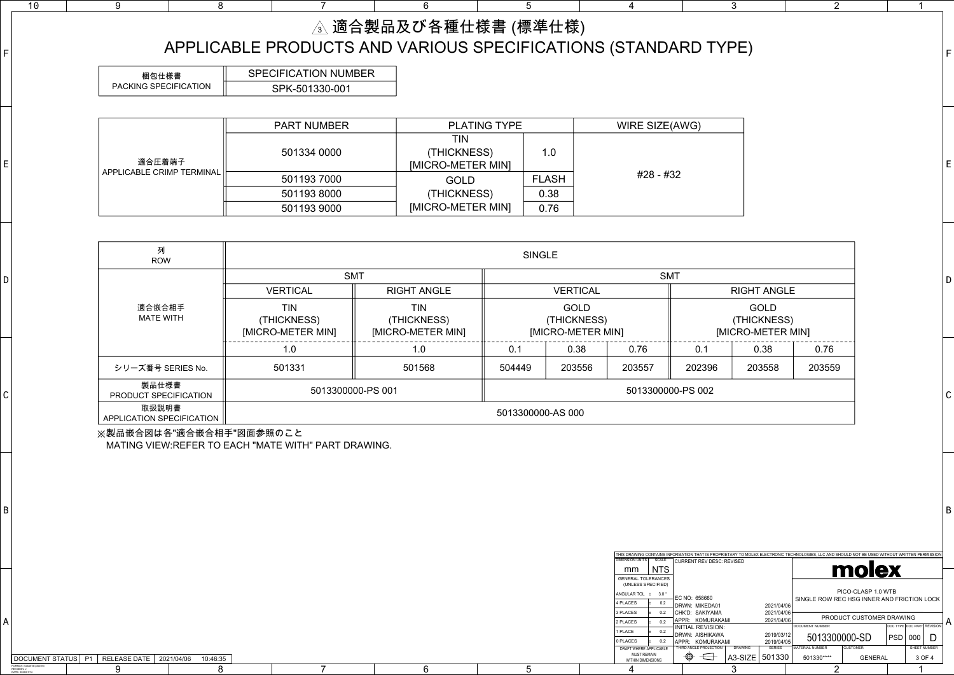| 列<br><b>ROW</b>                    |                                                | <b>SINGLE</b> |                                                 |            |                                                 |        |        |        |  |  |  |  |
|------------------------------------|------------------------------------------------|---------------|-------------------------------------------------|------------|-------------------------------------------------|--------|--------|--------|--|--|--|--|
|                                    |                                                | <b>SMT</b>    |                                                 | <b>SMT</b> |                                                 |        |        |        |  |  |  |  |
|                                    | <b>VERTICAL</b>                                |               | <b>VERTICAL</b>                                 |            | <b>RIGHT ANGLE</b>                              |        |        |        |  |  |  |  |
| 適合嵌合相手<br>MATE WITH                | <b>TIN</b><br>(THICKNESS)<br>[MICRO-METER MIN] |               | <b>GOLD</b><br>(THICKNESS)<br>[MICRO-METER MIN] |            | <b>GOLD</b><br>(THICKNESS)<br>[MICRO-METER MIN] |        |        |        |  |  |  |  |
|                                    | 1.0                                            | 1.0           | 0.1                                             | 0.38       | 0.76                                            | 0.1    | 0.38   | 0.76   |  |  |  |  |
| シリーズ番号 SERIES No.                  | 501331                                         | 501568        |                                                 | 203556     | 203557                                          | 202396 | 203558 | 203559 |  |  |  |  |
| 製品仕様書<br>PRODUCT SPECIFICATION     | 5013300000-PS 001                              |               | 5013300000-PS 002                               |            |                                                 |        |        |        |  |  |  |  |
| 取扱説明書<br>APPLICATION SPECIFICATION |                                                |               | 5013300000-AS 000                               |            |                                                 |        |        |        |  |  |  |  |

|                           | <b>PART NUMBER</b> | <b>PLATING TYPE</b>                     |              | WIRE SIZE(AWG) |  |  |
|---------------------------|--------------------|-----------------------------------------|--------------|----------------|--|--|
| 適合圧着端子                    | 501334 0000        | TIN<br>(THICKNESS)<br>[MICRO-METER MIN] | 1.0          |                |  |  |
| APPLICABLE CRIMP TERMINAL | 501193 7000        | <b>GOLD</b>                             | <b>FLASH</b> | #28 - #32      |  |  |
|                           | 5011938000         | (THICKNESS)                             | 0.38         |                |  |  |
|                           | 501193 9000        | [MICRO-METER MIN]                       | 0.76         |                |  |  |

| 梱包仕様書                 | <b>SPECIFICATION NUMBER</b> |
|-----------------------|-----------------------------|
| PACKING SPECIFICATION | SPK-501330-001              |

※製品嵌合図は各"適合嵌合相手"図面参照のこと MATING VIEW:REFER TO EACH "MATE WITH" PART DRAWING.

| △ 適合製品及び各種仕様書 (標準仕様)                                        |
|-------------------------------------------------------------|
| APPLICABLE PRODUCTS AND VARIOUS SPECIFICATIONS (STANDARD TY |

 $6$ 

| 4                                                                            |                          |   |                                                       | 3                                |                                        |                                                                       | 2                                                                                                                                             |                          |            | 1                   |        |   |
|------------------------------------------------------------------------------|--------------------------|---|-------------------------------------------------------|----------------------------------|----------------------------------------|-----------------------------------------------------------------------|-----------------------------------------------------------------------------------------------------------------------------------------------|--------------------------|------------|---------------------|--------|---|
|                                                                              |                          |   | STANDARD TYPE)                                        |                                  |                                        |                                                                       |                                                                                                                                               |                          |            |                     |        | F |
| <b>WIRE SIZE(AWG)</b>                                                        |                          |   |                                                       |                                  |                                        |                                                                       |                                                                                                                                               |                          |            |                     |        |   |
|                                                                              | #28 - #32                |   |                                                       |                                  |                                        |                                                                       |                                                                                                                                               |                          |            |                     |        | E |
|                                                                              |                          |   |                                                       |                                  |                                        |                                                                       |                                                                                                                                               |                          |            |                     |        |   |
|                                                                              | <b>SMT</b>               |   |                                                       |                                  |                                        |                                                                       |                                                                                                                                               |                          |            |                     |        | D |
|                                                                              |                          |   |                                                       | <b>RIGHT ANGLE</b>               |                                        |                                                                       |                                                                                                                                               |                          |            |                     |        |   |
| N]                                                                           |                          |   |                                                       | (THICKNESS)<br>[MICRO-METER MIN] | <b>GOLD</b>                            |                                                                       |                                                                                                                                               |                          |            |                     |        |   |
| 0.76                                                                         |                          |   | 0.1                                                   |                                  | 0.38                                   |                                                                       | 0.76                                                                                                                                          |                          |            |                     |        |   |
| 203557                                                                       |                          |   | 202396                                                |                                  | 203558                                 |                                                                       | 203559                                                                                                                                        |                          |            |                     |        |   |
|                                                                              | 5013300000-PS 002        |   |                                                       |                                  |                                        |                                                                       |                                                                                                                                               |                          |            |                     |        | С |
|                                                                              |                          |   |                                                       |                                  |                                        |                                                                       |                                                                                                                                               |                          |            |                     |        |   |
|                                                                              |                          |   |                                                       |                                  |                                        |                                                                       |                                                                                                                                               |                          | B          |                     |        |   |
| <b>DIMENSION UNITS</b><br>mm                                                 | SCALE<br><b>NTS</b>      |   | <b>CURRENT REV DESC: REVISED</b>                      |                                  |                                        |                                                                       | THIS DRAWING CONTAINS INFORMATION THAT IS PROPRIETARY TO MOLEX ELECTRONIC TECHNOLOGIES, LLC AND SHOULD NOT BE USED WITHOUT WRITTEN PERMISSION | molex                    |            |                     |        |   |
| <b>GENERAL TOLERANCES</b><br>(UNLESS SPECIFIED)<br>ANGULAR TOL ±<br>4 PLACES | $3.0\degree$<br>0.2<br>ŧ |   | EC NO: 658660                                         |                                  |                                        |                                                                       | SINGLE ROW REC HSG INNER AND FRICTION LOCK                                                                                                    | PICO-CLASP 1.0 WTB       |            |                     |        |   |
| 3 PLACES                                                                     | 0.2<br>ŧ                 |   | DRWN: MIKEDA01<br>CHK'D: SAKIYAMA<br>APPR: KOMURAKAMI |                                  | 2021/04/06<br>2021/04/06<br>2021/04/06 |                                                                       |                                                                                                                                               | PRODUCT CUSTOMER DRAWING |            |                     |        |   |
| 2 PLACES<br>1 PLACE                                                          | 0.2<br>Ŧ<br>0.2<br>Ŧ     |   | <b>INITIAL REVISION:</b><br>DRWN: AISHIKAWA           |                                  | 2019/03/12                             | <b>DOCUMENT NUMBER</b><br>DOC TYPE DOC PART REVISION<br>5013300000-SD |                                                                                                                                               |                          |            |                     |        | A |
| 0 PLACES<br>DRAFT WHERE APPLICABLE                                           | 0.2<br>Ŧ                 |   | APPR: KOMURAKAMI<br>THIRD ANGLE PROJECTION            | <b>DRAWING</b>                   | 2019/04/05<br><b>SERIES</b>            |                                                                       | MATERIAL NUMBER                                                                                                                               | <b>CUSTOMER</b>          | <b>PSD</b> | 000<br>SHEET NUMBER | I)     |   |
| <b>MUST REMAIN</b><br>WITHIN DIMENSIONS                                      |                          | ⊕ |                                                       | A3-SIZE                          | 501330                                 |                                                                       | 501330****                                                                                                                                    | <b>GENERAL</b>           |            |                     | 3 OF 4 |   |
| 4                                                                            |                          |   |                                                       | 3                                |                                        |                                                                       | $\overline{2}$                                                                                                                                |                          |            | 1                   |        |   |

| ד∆ד<br>9T<br>IMENT<br>$\chi$                    | JS | D <sub>1</sub> | <b>RELEASE DATE</b> | 06/24 | 6:35 |  |
|-------------------------------------------------|----|----------------|---------------------|-------|------|--|
| FORMAT: master-tb-prod-A3<br><b>REVISION: J</b> |    |                | w                   |       |      |  |
| DATE: 2020/01/14                                |    |                | ∼                   |       | ◡    |  |

| THIS DRAWING CONTAINS INFORMATION THAT IS PROPRIETARY TO |                  |  |                                              |                                  |
|----------------------------------------------------------|------------------|--|----------------------------------------------|----------------------------------|
| DIMENSION UNITS                                          | SCALE            |  |                                              | <b>CURRENT REV DESC: REVISED</b> |
| mm                                                       | NTS.             |  |                                              |                                  |
| <b>GENERAL TOLERANCES</b><br>(UNLESS SPECIFIED)          |                  |  |                                              |                                  |
| ANGULAR TOL +                                            | $3.0^\circ$      |  | EC NO: 658660                                |                                  |
| 4 PLACES                                                 | 0.2<br>Ŧ.        |  | DRWN: MIKFDA01                               |                                  |
| 3 PLACES                                                 | 0.2<br>Ŧ         |  | CHK'D: SAKIYAMA                              |                                  |
| 2 PLACES                                                 | 0.2<br>$\ddot{}$ |  | APPR: KOMURAKAMI<br><b>INITIAL REVISION:</b> |                                  |
| 1 PLACE                                                  | 0.2<br>Ŧ         |  | DRWN: AISHIKAWA                              |                                  |
| 0 PLACES                                                 | 0.2<br>Ŧ         |  | APPR: KOMURAKAMI                             |                                  |
| DRAFT WHERE APPLICABLE                                   |                  |  | THIRD ANGLE PROJECTION                       | DRAW                             |
| <b>MUST REMAIN</b><br>WITHIN DIMENSIONS                  |                  |  |                                              | $A3-S$                           |
|                                                          |                  |  |                                              |                                  |

A

B

 $\mathsf{C}$ 

 $D$ 

4

5

5

E

6

F

7

7

8

10 9